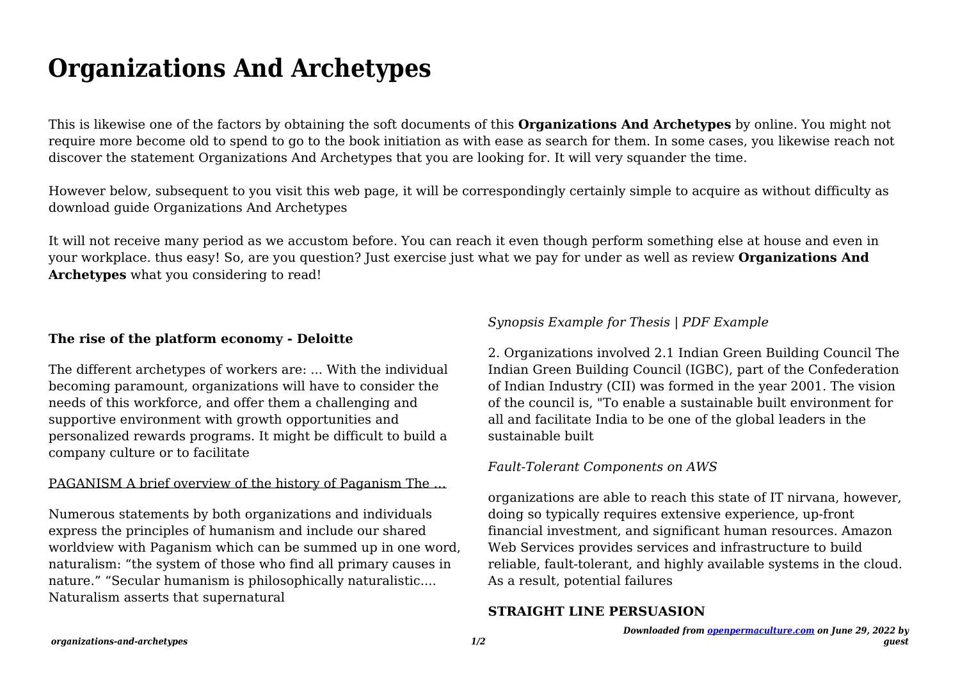# **Organizations And Archetypes**

This is likewise one of the factors by obtaining the soft documents of this **Organizations And Archetypes** by online. You might not require more become old to spend to go to the book initiation as with ease as search for them. In some cases, you likewise reach not discover the statement Organizations And Archetypes that you are looking for. It will very squander the time.

However below, subsequent to you visit this web page, it will be correspondingly certainly simple to acquire as without difficulty as download guide Organizations And Archetypes

It will not receive many period as we accustom before. You can reach it even though perform something else at house and even in your workplace. thus easy! So, are you question? Just exercise just what we pay for under as well as review **Organizations And Archetypes** what you considering to read!

## **The rise of the platform economy - Deloitte**

The different archetypes of workers are: ... With the individual becoming paramount, organizations will have to consider the needs of this workforce, and offer them a challenging and supportive environment with growth opportunities and personalized rewards programs. It might be difficult to build a company culture or to facilitate

## PAGANISM A brief overview of the history of Paganism The …

Numerous statements by both organizations and individuals express the principles of humanism and include our shared worldview with Paganism which can be summed up in one word, naturalism: "the system of those who find all primary causes in nature." "Secular humanism is philosophically naturalistic.... Naturalism asserts that supernatural

# *Synopsis Example for Thesis | PDF Example*

2. Organizations involved 2.1 Indian Green Building Council The Indian Green Building Council (IGBC), part of the Confederation of Indian Industry (CII) was formed in the year 2001. The vision of the council is, "To enable a sustainable built environment for all and facilitate India to be one of the global leaders in the sustainable built

# *Fault-Tolerant Components on AWS*

organizations are able to reach this state of IT nirvana, however, doing so typically requires extensive experience, up-front financial investment, and significant human resources. Amazon Web Services provides services and infrastructure to build reliable, fault-tolerant, and highly available systems in the cloud. As a result, potential failures

# **STRAIGHT LINE PERSUASION**